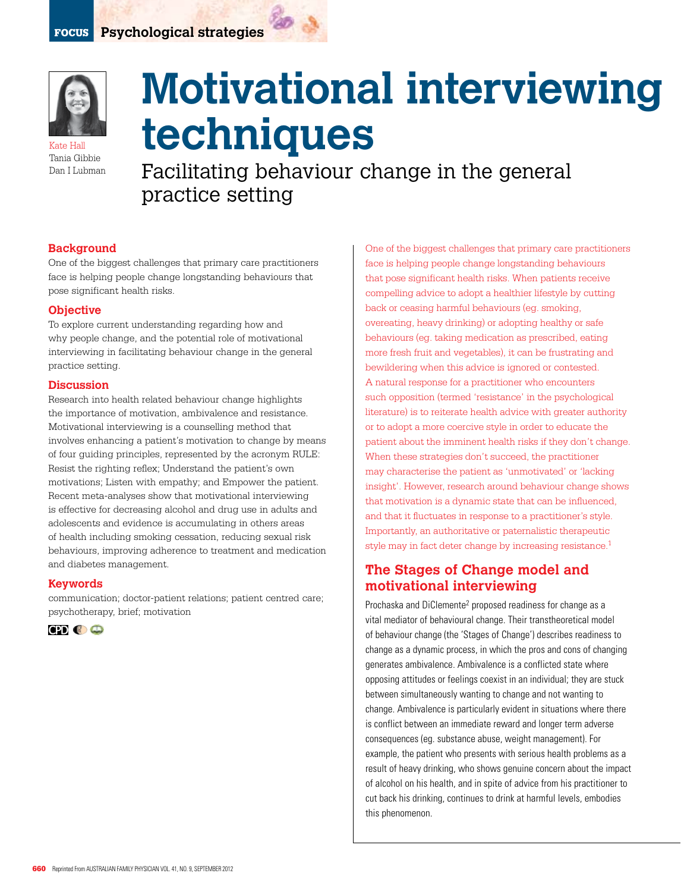

Kate Hall Tania Gibbie Dan I Lubman

# **Motivational interviewing techniques**

Facilitating behaviour change in the general practice setting

#### **Background**

One of the biggest challenges that primary care practitioners face is helping people change longstanding behaviours that pose significant health risks.

#### **Objective**

To explore current understanding regarding how and why people change, and the potential role of motivational interviewing in facilitating behaviour change in the general practice setting.

#### **Discussion**

Research into health related behaviour change highlights the importance of motivation, ambivalence and resistance. Motivational interviewing is a counselling method that involves enhancing a patient's motivation to change by means of four guiding principles, represented by the acronym RULE: Resist the righting reflex; Understand the patient's own motivations; Listen with empathy; and Empower the patient. Recent meta-analyses show that motivational interviewing is effective for decreasing alcohol and drug use in adults and adolescents and evidence is accumulating in others areas of health including smoking cessation, reducing sexual risk behaviours, improving adherence to treatment and medication and diabetes management.

#### **Keywords**

communication; doctor-patient relations; patient centred care; psychotherapy, brief; motivation



One of the biggest challenges that primary care practitioners face is helping people change longstanding behaviours that pose significant health risks. When patients receive compelling advice to adopt a healthier lifestyle by cutting back or ceasing harmful behaviours (eg. smoking, overeating, heavy drinking) or adopting healthy or safe behaviours (eg. taking medication as prescribed, eating more fresh fruit and vegetables), it can be frustrating and bewildering when this advice is ignored or contested. A natural response for a practitioner who encounters such opposition (termed 'resistance' in the psychological literature) is to reiterate health advice with greater authority or to adopt a more coercive style in order to educate the patient about the imminent health risks if they don't change. When these strategies don't succeed, the practitioner may characterise the patient as 'unmotivated' or 'lacking insight'. However, research around behaviour change shows that motivation is a dynamic state that can be influenced, and that it fluctuates in response to a practitioner's style. Importantly, an authoritative or paternalistic therapeutic style may in fact deter change by increasing resistance.<sup>1</sup>

## **The Stages of Change model and motivational interviewing**

Prochaska and DiClemente<sup>2</sup> proposed readiness for change as a vital mediator of behavioural change. Their transtheoretical model of behaviour change (the 'Stages of Change') describes readiness to change as a dynamic process, in which the pros and cons of changing generates ambivalence. Ambivalence is a conflicted state where opposing attitudes or feelings coexist in an individual; they are stuck between simultaneously wanting to change and not wanting to change. Ambivalence is particularly evident in situations where there is conflict between an immediate reward and longer term adverse consequences (eg. substance abuse, weight management). For example, the patient who presents with serious health problems as a result of heavy drinking, who shows genuine concern about the impact of alcohol on his health, and in spite of advice from his practitioner to cut back his drinking, continues to drink at harmful levels, embodies this phenomenon.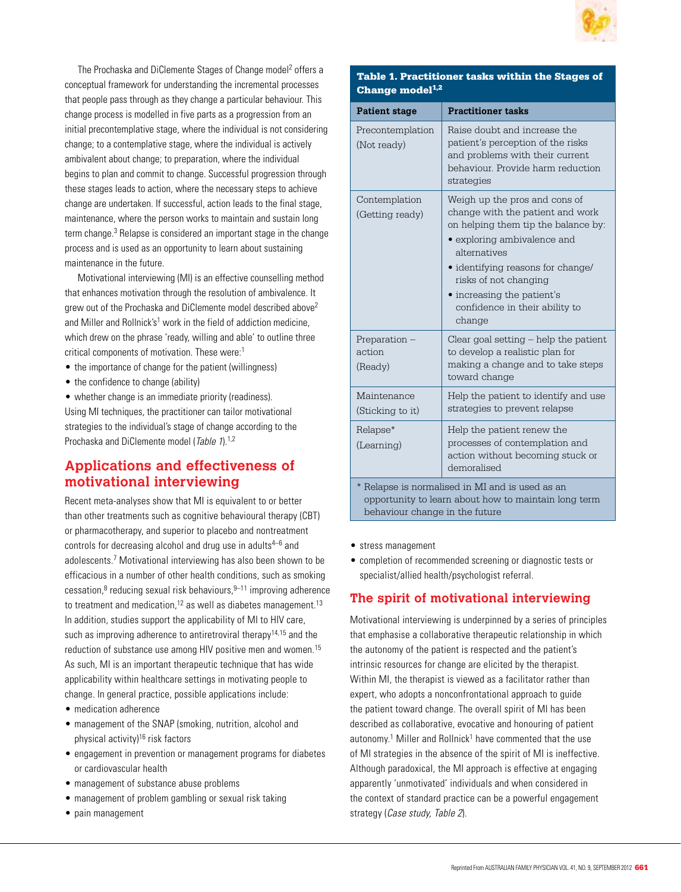

The Prochaska and DiClemente Stages of Change model<sup>2</sup> offers a conceptual framework for understanding the incremental processes that people pass through as they change a particular behaviour. This change process is modelled in five parts as a progression from an initial precontemplative stage, where the individual is not considering change; to a contemplative stage, where the individual is actively ambivalent about change; to preparation, where the individual begins to plan and commit to change. Successful progression through these stages leads to action, where the necessary steps to achieve change are undertaken. If successful, action leads to the final stage, maintenance, where the person works to maintain and sustain long term change.<sup>3</sup> Relapse is considered an important stage in the change process and is used as an opportunity to learn about sustaining maintenance in the future.

Motivational interviewing (MI) is an effective counselling method that enhances motivation through the resolution of ambivalence. It grew out of the Prochaska and DiClemente model described above2 and Miller and Rollnick's<sup>1</sup> work in the field of addiction medicine, which drew on the phrase 'ready, willing and able' to outline three critical components of motivation. These were:1

- the importance of change for the patient (willingness)
- the confidence to change (ability)

• whether change is an immediate priority (readiness). Using MI techniques, the practitioner can tailor motivational strategies to the individual's stage of change according to the Prochaska and DiClemente model (Table 1).<sup>1,2</sup>

## **Applications and effectiveness of motivational interviewing**

Recent meta-analyses show that MI is equivalent to or better than other treatments such as cognitive behavioural therapy (CBT) or pharmacotherapy, and superior to placebo and nontreatment controls for decreasing alcohol and drug use in adults $4-6$  and adolescents.7 Motivational interviewing has also been shown to be efficacious in a number of other health conditions, such as smoking cessation,<sup>8</sup> reducing sexual risk behaviours,<sup>9–11</sup> improving adherence to treatment and medication, $12$  as well as diabetes management.<sup>13</sup> In addition, studies support the applicability of MI to HIV care, such as improving adherence to antiretroviral therapy<sup>14,15</sup> and the reduction of substance use among HIV positive men and women.15 As such, MI is an important therapeutic technique that has wide applicability within healthcare settings in motivating people to change. In general practice, possible applications include:

- medication adherence
- management of the SNAP (smoking, nutrition, alcohol and physical activity)16 risk factors
- engagement in prevention or management programs for diabetes or cardiovascular health
- management of substance abuse problems
- management of problem gambling or sexual risk taking
- • pain management

#### Table 1. Practitioner tasks within the Stages of Change model $1,2$

| <b>Patient stage</b>                                                                                                                      | <b>Practitioner tasks</b>                                                                                                                                                                                                                                                                       |  |
|-------------------------------------------------------------------------------------------------------------------------------------------|-------------------------------------------------------------------------------------------------------------------------------------------------------------------------------------------------------------------------------------------------------------------------------------------------|--|
| Precontemplation<br>(Not ready)                                                                                                           | Raise doubt and increase the<br>patient's perception of the risks<br>and problems with their current<br>behaviour. Provide harm reduction<br>strategies                                                                                                                                         |  |
| Contemplation<br>(Getting ready)                                                                                                          | Weigh up the pros and cons of<br>change with the patient and work<br>on helping them tip the balance by:<br>• exploring ambivalence and<br>alternatives<br>• identifying reasons for change/<br>risks of not changing<br>• increasing the patient's<br>confidence in their ability to<br>change |  |
| Preparation -<br>action<br>(Ready)                                                                                                        | Clear goal setting $-$ help the patient<br>to develop a realistic plan for<br>making a change and to take steps<br>toward change                                                                                                                                                                |  |
| Maintenance<br>(Sticking to it)                                                                                                           | Help the patient to identify and use<br>strategies to prevent relapse                                                                                                                                                                                                                           |  |
| Relapse*<br>(Learning)                                                                                                                    | Help the patient renew the<br>processes of contemplation and<br>action without becoming stuck or<br>demoralised                                                                                                                                                                                 |  |
| * Relapse is normalised in MI and is used as an<br>opportunity to learn about how to maintain long term<br>behaviour change in the future |                                                                                                                                                                                                                                                                                                 |  |

- stress management
- completion of recommended screening or diagnostic tests or specialist/allied health/psychologist referral.

## **The spirit of motivational interviewing**

Motivational interviewing is underpinned by a series of principles that emphasise a collaborative therapeutic relationship in which the autonomy of the patient is respected and the patient's intrinsic resources for change are elicited by the therapist. Within MI, the therapist is viewed as a facilitator rather than expert, who adopts a nonconfrontational approach to guide the patient toward change. The overall spirit of MI has been described as collaborative, evocative and honouring of patient  $automy$ <sup>1</sup> Miller and Rollnick<sup>1</sup> have commented that the use of MI strategies in the absence of the spirit of MI is ineffective. Although paradoxical, the MI approach is effective at engaging apparently 'unmotivated' individuals and when considered in the context of standard practice can be a powerful engagement strategy (Case study, Table 2).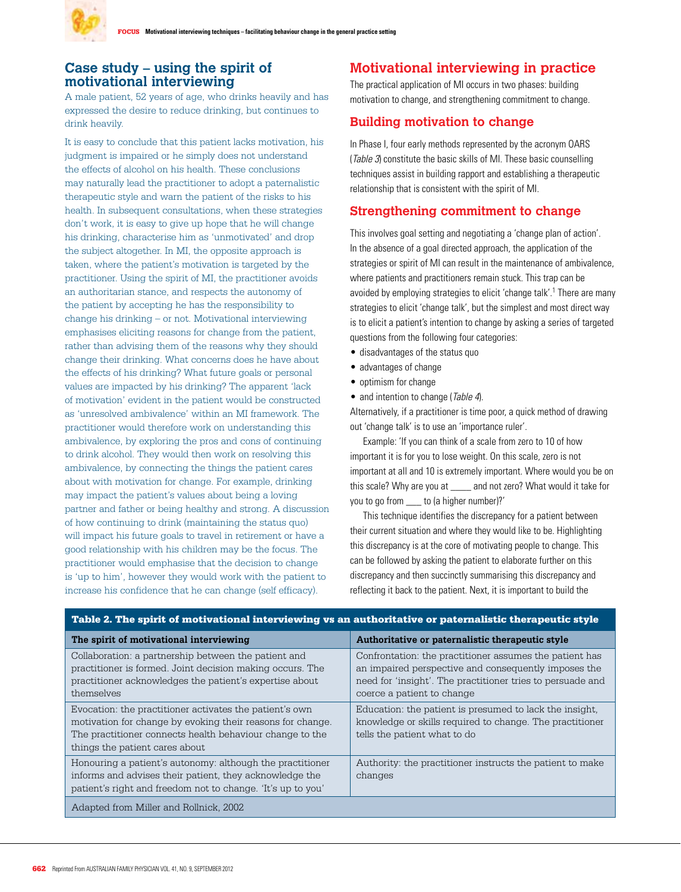

## **Case study – using the spirit of motivational interviewing**

A male patient, 52 years of age, who drinks heavily and has expressed the desire to reduce drinking, but continues to drink heavily.

It is easy to conclude that this patient lacks motivation, his judgment is impaired or he simply does not understand the effects of alcohol on his health. These conclusions may naturally lead the practitioner to adopt a paternalistic therapeutic style and warn the patient of the risks to his health. In subsequent consultations, when these strategies don't work, it is easy to give up hope that he will change his drinking, characterise him as 'unmotivated' and drop the subject altogether. In MI, the opposite approach is taken, where the patient's motivation is targeted by the practitioner. Using the spirit of MI, the practitioner avoids an authoritarian stance, and respects the autonomy of the patient by accepting he has the responsibility to change his drinking – or not. Motivational interviewing emphasises eliciting reasons for change from the patient, rather than advising them of the reasons why they should change their drinking. What concerns does he have about the effects of his drinking? What future goals or personal values are impacted by his drinking? The apparent 'lack of motivation' evident in the patient would be constructed as 'unresolved ambivalence' within an MI framework. The practitioner would therefore work on understanding this ambivalence, by exploring the pros and cons of continuing to drink alcohol. They would then work on resolving this ambivalence, by connecting the things the patient cares about with motivation for change. For example, drinking may impact the patient's values about being a loving partner and father or being healthy and strong. A discussion of how continuing to drink (maintaining the status quo) will impact his future goals to travel in retirement or have a good relationship with his children may be the focus. The practitioner would emphasise that the decision to change is 'up to him', however they would work with the patient to increase his confidence that he can change (self efficacy).

## **Motivational interviewing in practice**

The practical application of MI occurs in two phases: building motivation to change, and strengthening commitment to change.

## **Building motivation to change**

In Phase I, four early methods represented by the acronym OARS (*Table 3*) constitute the basic skills of MI. These basic counselling techniques assist in building rapport and establishing a therapeutic relationship that is consistent with the spirit of MI.

### **Strengthening commitment to change**

This involves goal setting and negotiating a 'change plan of action'. In the absence of a goal directed approach, the application of the strategies or spirit of MI can result in the maintenance of ambivalence, where patients and practitioners remain stuck. This trap can be avoided by employing strategies to elicit 'change talk'.<sup>1</sup> There are many strategies to elicit 'change talk', but the simplest and most direct way is to elicit a patient's intention to change by asking a series of targeted questions from the following four categories:

- disadvantages of the status quo
- advantages of change
- optimism for change
- and intention to change (Table 4).

Alternatively, if a practitioner is time poor, a quick method of drawing out 'change talk' is to use an 'importance ruler'.

Example: 'If you can think of a scale from zero to 10 of how important it is for you to lose weight. On this scale, zero is not important at all and 10 is extremely important. Where would you be on this scale? Why are you at \_\_\_\_ and not zero? What would it take for you to go from \_\_\_ to (a higher number)?'

This technique identifies the discrepancy for a patient between their current situation and where they would like to be. Highlighting this discrepancy is at the core of motivating people to change. This can be followed by asking the patient to elaborate further on this discrepancy and then succinctly summarising this discrepancy and reflecting it back to the patient. Next, it is important to build the

| The spirit of motivational interviewing                                                                                                                                                                             | Authoritative or paternalistic therapeutic style                                                                                                                                                            |
|---------------------------------------------------------------------------------------------------------------------------------------------------------------------------------------------------------------------|-------------------------------------------------------------------------------------------------------------------------------------------------------------------------------------------------------------|
| Collaboration: a partnership between the patient and<br>practitioner is formed. Joint decision making occurs. The<br>practitioner acknowledges the patient's expertise about<br>themselves                          | Confrontation: the practitioner assumes the patient has<br>an impaired perspective and consequently imposes the<br>need for 'insight'. The practitioner tries to persuade and<br>coerce a patient to change |
| Evocation: the practitioner activates the patient's own<br>motivation for change by evoking their reasons for change.<br>The practitioner connects health behaviour change to the<br>things the patient cares about | Education: the patient is presumed to lack the insight.<br>knowledge or skills required to change. The practitioner<br>tells the patient what to do                                                         |
| Honouring a patient's autonomy: although the practitioner<br>informs and advises their patient, they acknowledge the<br>patient's right and freedom not to change. 'It's up to you'                                 | Authority: the practitioner instructs the patient to make<br>changes                                                                                                                                        |
| Adapted from Miller and Rollnick, 2002                                                                                                                                                                              |                                                                                                                                                                                                             |

## Table 2. The spirit of motivational interviewing vs an authoritative or paternalistic therapeutic style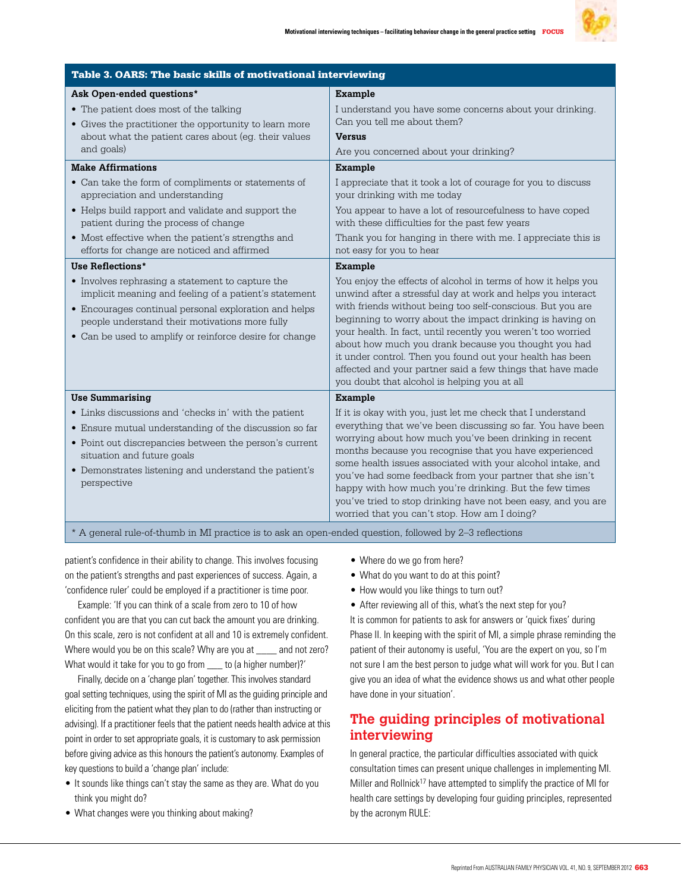

| Table 3. OARS: The basic skills of motivational interviewing                                                                                                                                                                                                                                                                                       |                                                                                                                                                                                                                                                                                                                                                                                                                                                                                                                                                                                                          |  |  |
|----------------------------------------------------------------------------------------------------------------------------------------------------------------------------------------------------------------------------------------------------------------------------------------------------------------------------------------------------|----------------------------------------------------------------------------------------------------------------------------------------------------------------------------------------------------------------------------------------------------------------------------------------------------------------------------------------------------------------------------------------------------------------------------------------------------------------------------------------------------------------------------------------------------------------------------------------------------------|--|--|
| Ask Open-ended questions*<br>• The patient does most of the talking<br>• Gives the practitioner the opportunity to learn more<br>about what the patient cares about (eg. their values<br>and goals)                                                                                                                                                | <b>Example</b><br>I understand you have some concerns about your drinking.<br>Can you tell me about them?<br><b>Versus</b><br>Are you concerned about your drinking?                                                                                                                                                                                                                                                                                                                                                                                                                                     |  |  |
| <b>Make Affirmations</b><br>• Can take the form of compliments or statements of<br>appreciation and understanding<br>• Helps build rapport and validate and support the<br>patient during the process of change<br>• Most effective when the patient's strengths and                                                                               | <b>Example</b><br>I appreciate that it took a lot of courage for you to discuss<br>your drinking with me today<br>You appear to have a lot of resourcefulness to have coped<br>with these difficulties for the past few years<br>Thank you for hanging in there with me. I appreciate this is                                                                                                                                                                                                                                                                                                            |  |  |
| efforts for change are noticed and affirmed<br>Use Reflections*<br>• Involves rephrasing a statement to capture the<br>implicit meaning and feeling of a patient's statement<br>• Encourages continual personal exploration and helps<br>people understand their motivations more fully<br>• Can be used to amplify or reinforce desire for change | not easy for you to hear<br><b>Example</b><br>You enjoy the effects of alcohol in terms of how it helps you<br>unwind after a stressful day at work and helps you interact<br>with friends without being too self-conscious. But you are<br>beginning to worry about the impact drinking is having on<br>your health. In fact, until recently you weren't too worried<br>about how much you drank because you thought you had<br>it under control. Then you found out your health has been<br>affected and your partner said a few things that have made<br>you doubt that alcohol is helping you at all |  |  |
| <b>Use Summarising</b><br>• Links discussions and 'checks in' with the patient<br>• Ensure mutual understanding of the discussion so far<br>• Point out discrepancies between the person's current<br>situation and future goals<br>• Demonstrates listening and understand the patient's<br>perspective                                           | <b>Example</b><br>If it is okay with you, just let me check that I understand<br>everything that we've been discussing so far. You have been<br>worrying about how much you've been drinking in recent<br>months because you recognise that you have experienced<br>some health issues associated with your alcohol intake, and<br>you've had some feedback from your partner that she isn't<br>happy with how much you're drinking. But the few times<br>you've tried to stop drinking have not been easy, and you are<br>worried that you can't stop. How am I doing?                                  |  |  |

\* A general rule-of-thumb in MI practice is to ask an open-ended question, followed by 2–3 reflections

patient's confidence in their ability to change. This involves focusing on the patient's strengths and past experiences of success. Again, a 'confidence ruler' could be employed if a practitioner is time poor.

Example: 'If you can think of a scale from zero to 10 of how confident you are that you can cut back the amount you are drinking. On this scale, zero is not confident at all and 10 is extremely confident. Where would you be on this scale? Why are you at \_\_\_\_\_ and not zero? What would it take for you to go from \_\_\_\_ to (a higher number)?'

Finally, decide on a 'change plan' together. This involves standard goal setting techniques, using the spirit of MI as the guiding principle and eliciting from the patient what they plan to do (rather than instructing or advising). If a practitioner feels that the patient needs health advice at this point in order to set appropriate goals, it is customary to ask permission before giving advice as this honours the patient's autonomy. Examples of key questions to build a 'change plan' include:

- It sounds like things can't stay the same as they are. What do you think you might do?
- • What changes were you thinking about making?

• Where do we go from here?

have done in your situation'.

- What do you want to do at this point?
- How would you like things to turn out?

• After reviewing all of this, what's the next step for you? It is common for patients to ask for answers or 'quick fixes' during Phase II. In keeping with the spirit of MI, a simple phrase reminding the patient of their autonomy is useful, 'You are the expert on you, so I'm not sure I am the best person to judge what will work for you. But I can

give you an idea of what the evidence shows us and what other people

## **The guiding principles of motivational interviewing**

In general practice, the particular difficulties associated with quick consultation times can present unique challenges in implementing MI. Miller and Rollnick<sup>17</sup> have attempted to simplify the practice of MI for health care settings by developing four guiding principles, represented by the acronym RULE: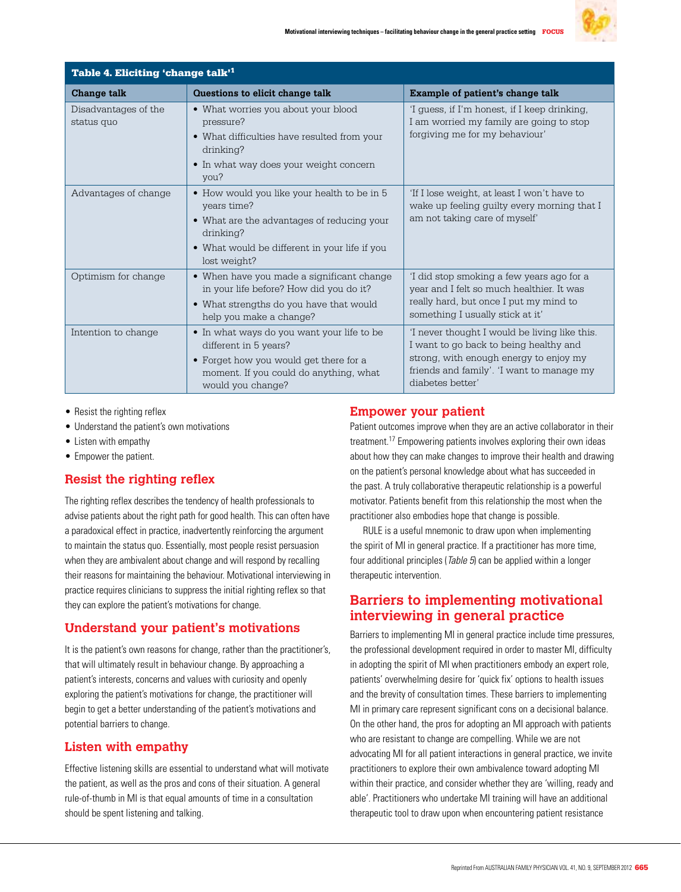

| Table 4. Eliciting 'change talk' <sup>1</sup> |                                                                                                                                                                                        |                                                                                                                                                                                                    |  |  |
|-----------------------------------------------|----------------------------------------------------------------------------------------------------------------------------------------------------------------------------------------|----------------------------------------------------------------------------------------------------------------------------------------------------------------------------------------------------|--|--|
| Change talk                                   | <b>Questions to elicit change talk</b>                                                                                                                                                 | <b>Example of patient's change talk</b>                                                                                                                                                            |  |  |
| Disadvantages of the<br>status quo            | • What worries you about your blood<br>pressure?<br>• What difficulties have resulted from your<br>drinking?<br>• In what way does your weight concern<br>you?                         | 'I guess, if I'm honest, if I keep drinking,<br>I am worried my family are going to stop<br>forgiving me for my behaviour'                                                                         |  |  |
| Advantages of change                          | • How would you like your health to be in 5<br>years time?<br>• What are the advantages of reducing your<br>drinking?<br>• What would be different in your life if you<br>lost weight? | 'If I lose weight, at least I won't have to<br>wake up feeling guilty every morning that I<br>am not taking care of myself'                                                                        |  |  |
| Optimism for change                           | • When have you made a significant change<br>in your life before? How did you do it?<br>• What strengths do you have that would<br>help you make a change?                             | 'I did stop smoking a few years ago for a<br>year and I felt so much healthier. It was<br>really hard, but once I put my mind to<br>something I usually stick at it'                               |  |  |
| Intention to change                           | • In what ways do you want your life to be<br>different in 5 years?<br>• Forget how you would get there for a<br>moment. If you could do anything, what<br>would you change?           | 'I never thought I would be living like this.<br>I want to go back to being healthy and<br>strong, with enough energy to enjoy my<br>friends and family'. 'I want to manage my<br>diabetes better' |  |  |

• Resist the righting reflex

- Understand the patient's own motivations
- Listen with empathy
- Empower the patient.

## **Resist the righting reflex**

The righting reflex describes the tendency of health professionals to advise patients about the right path for good health. This can often have a paradoxical effect in practice, inadvertently reinforcing the argument to maintain the status quo. Essentially, most people resist persuasion when they are ambivalent about change and will respond by recalling their reasons for maintaining the behaviour. Motivational interviewing in practice requires clinicians to suppress the initial righting reflex so that they can explore the patient's motivations for change.

## **Understand your patient's motivations**

It is the patient's own reasons for change, rather than the practitioner's, that will ultimately result in behaviour change. By approaching a patient's interests, concerns and values with curiosity and openly exploring the patient's motivations for change, the practitioner will begin to get a better understanding of the patient's motivations and potential barriers to change.

## **Listen with empathy**

Effective listening skills are essential to understand what will motivate the patient, as well as the pros and cons of their situation. A general rule-of-thumb in MI is that equal amounts of time in a consultation should be spent listening and talking.

## **Empower your patient**

Patient outcomes improve when they are an active collaborator in their treatment.17 Empowering patients involves exploring their own ideas about how they can make changes to improve their health and drawing on the patient's personal knowledge about what has succeeded in the past. A truly collaborative therapeutic relationship is a powerful motivator. Patients benefit from this relationship the most when the practitioner also embodies hope that change is possible.

RULE is a useful mnemonic to draw upon when implementing the spirit of MI in general practice. If a practitioner has more time, four additional principles (Table 5) can be applied within a longer therapeutic intervention.

## **Barriers to implementing motivational interviewing in general practice**

Barriers to implementing MI in general practice include time pressures, the professional development required in order to master MI, difficulty in adopting the spirit of MI when practitioners embody an expert role, patients' overwhelming desire for 'quick fix' options to health issues and the brevity of consultation times. These barriers to implementing MI in primary care represent significant cons on a decisional balance. On the other hand, the pros for adopting an MI approach with patients who are resistant to change are compelling. While we are not advocating MI for all patient interactions in general practice, we invite practitioners to explore their own ambivalence toward adopting MI within their practice, and consider whether they are 'willing, ready and able'. Practitioners who undertake MI training will have an additional therapeutic tool to draw upon when encountering patient resistance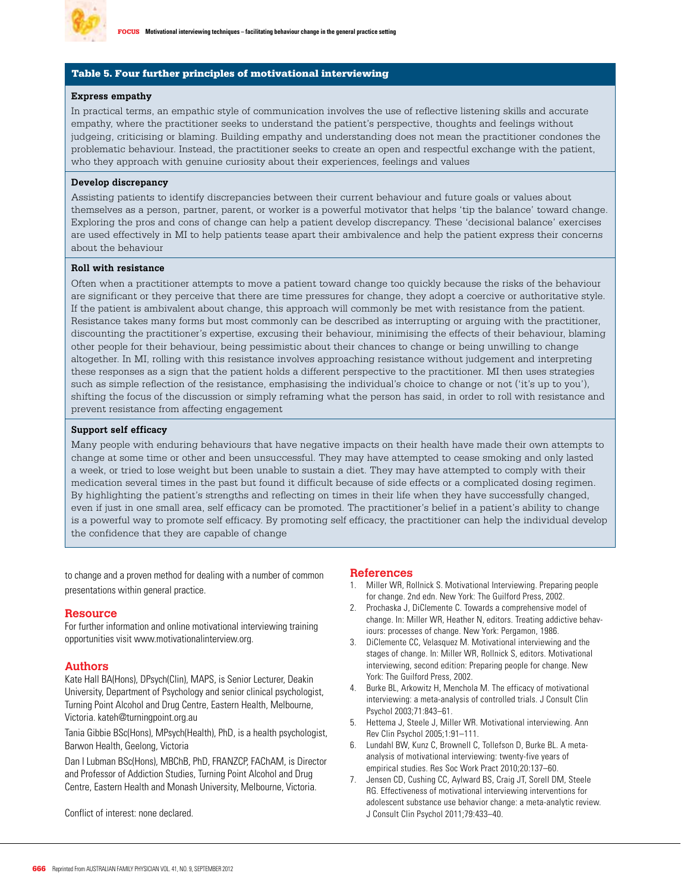

#### Table 5. Four further principles of motivational interviewing

#### **Express empathy**

In practical terms, an empathic style of communication involves the use of reflective listening skills and accurate empathy, where the practitioner seeks to understand the patient's perspective, thoughts and feelings without judgeing, criticising or blaming. Building empathy and understanding does not mean the practitioner condones the problematic behaviour. Instead, the practitioner seeks to create an open and respectful exchange with the patient, who they approach with genuine curiosity about their experiences, feelings and values

#### **Develop discrepancy**

Assisting patients to identify discrepancies between their current behaviour and future goals or values about themselves as a person, partner, parent, or worker is a powerful motivator that helps 'tip the balance' toward change. Exploring the pros and cons of change can help a patient develop discrepancy. These 'decisional balance' exercises are used effectively in MI to help patients tease apart their ambivalence and help the patient express their concerns about the behaviour

#### **Roll with resistance**

Often when a practitioner attempts to move a patient toward change too quickly because the risks of the behaviour are significant or they perceive that there are time pressures for change, they adopt a coercive or authoritative style. If the patient is ambivalent about change, this approach will commonly be met with resistance from the patient. Resistance takes many forms but most commonly can be described as interrupting or arguing with the practitioner, discounting the practitioner's expertise, excusing their behaviour, minimising the effects of their behaviour, blaming other people for their behaviour, being pessimistic about their chances to change or being unwilling to change altogether. In MI, rolling with this resistance involves approaching resistance without judgement and interpreting these responses as a sign that the patient holds a different perspective to the practitioner. MI then uses strategies such as simple reflection of the resistance, emphasising the individual's choice to change or not ('it's up to you'), shifting the focus of the discussion or simply reframing what the person has said, in order to roll with resistance and prevent resistance from affecting engagement

#### **Support self efficacy**

Many people with enduring behaviours that have negative impacts on their health have made their own attempts to change at some time or other and been unsuccessful. They may have attempted to cease smoking and only lasted a week, or tried to lose weight but been unable to sustain a diet. They may have attempted to comply with their medication several times in the past but found it difficult because of side effects or a complicated dosing regimen. By highlighting the patient's strengths and reflecting on times in their life when they have successfully changed, even if just in one small area, self efficacy can be promoted. The practitioner's belief in a patient's ability to change is a powerful way to promote self efficacy. By promoting self efficacy, the practitioner can help the individual develop the confidence that they are capable of change

to change and a proven method for dealing with a number of common presentations within general practice.

#### **Resource**

For further information and online motivational interviewing training opportunities visit www.motivationalinterview.org.

#### **Authors**

Kate Hall BA(Hons), DPsych(Clin), MAPS, is Senior Lecturer, Deakin University, Department of Psychology and senior clinical psychologist, Turning Point Alcohol and Drug Centre, Eastern Health, Melbourne, Victoria. kateh@turningpoint.org.au

Tania Gibbie BSc(Hons), MPsych(Health), PhD, is a health psychologist, Barwon Health, Geelong, Victoria

Dan I Lubman BSc(Hons), MBChB, PhD, FRANZCP, FAChAM, is Director and Professor of Addiction Studies, Turning Point Alcohol and Drug Centre, Eastern Health and Monash University, Melbourne, Victoria.

Conflict of interest: none declared.

#### **References**

- 1. Miller WR, Rollnick S. Motivational Interviewing. Preparing people for change. 2nd edn. New York: The Guilford Press, 2002.
- 2. Prochaska J, DiClemente C. Towards a comprehensive model of change. In: Miller WR, Heather N, editors. Treating addictive behaviours: processes of change. New York: Pergamon, 1986.
- 3. DiClemente CC, Velasquez M. Motivational interviewing and the stages of change. In: Miller WR, Rollnick S, editors. Motivational interviewing, second edition: Preparing people for change. New York: The Guilford Press, 2002.
- 4. Burke BL, Arkowitz H, Menchola M. The efficacy of motivational interviewing: a meta-analysis of controlled trials. J Consult Clin Psychol 2003;71:843–61.
- Hettema J, Steele J, Miller WR. Motivational interviewing. Ann Rev Clin Psychol 2005;1:91–111.
- 6. Lundahl BW, Kunz C, Brownell C, Tollefson D, Burke BL. A metaanalysis of motivational interviewing: twenty-five years of empirical studies. Res Soc Work Pract 2010;20:137–60.
- 7. Jensen CD, Cushing CC, Aylward BS, Craig JT, Sorell DM, Steele RG. Effectiveness of motivational interviewing interventions for adolescent substance use behavior change: a meta-analytic review. J Consult Clin Psychol 2011;79:433–40.